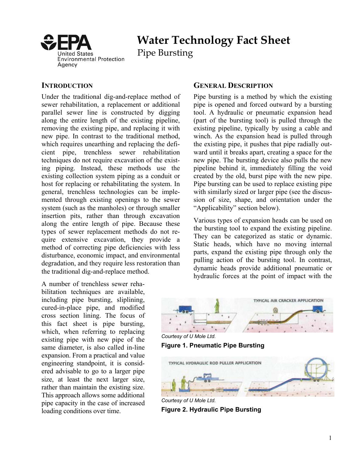

# **Water Technology Fact Sheet**

Pipe Bursting

#### **INTRODUCTION**

Under the traditional dig-and-replace method of sewer rehabilitation, a replacement or additional parallel sewer line is constructed by digging along the entire length of the existing pipeline, removing the existing pipe, and replacing it with new pipe. In contrast to the traditional method, which requires unearthing and replacing the deficient pipe, trenchless sewer rehabilitation techniques do not require excavation of the existing piping. Instead, these methods use the existing collection system piping as a conduit or host for replacing or rehabilitating the system. In general, trenchless technologies can be implemented through existing openings to the sewer system (such as the manholes) or through smaller insertion pits, rather than through excavation along the entire length of pipe. Because these types of sewer replacement methods do not require extensive excavation, they provide a method of correcting pipe deficiencies with less disturbance, economic impact, and environmental degradation, and they require less restoration than the traditional dig-and-replace method.

A number of trenchless sewer rehabilitation techniques are available, including pipe bursting, sliplining, cured-in-place pipe, and modified cross section lining. The focus of this fact sheet is pipe bursting, which, when referring to replacing<br>existing pipe with new pipe of the<br>same diameter, is also called in-line<br>**Figure 1. Pneumatic Pipe Bursting** expansion. From a practical and value engineering standpoint, it is considered advisable to go to a larger pipe size, at least the next larger size, rather than maintain the existing size. This approach allows some additional *Courtesy of U Mole Ltd. Courtesy of U Mole Ltd.* loading conditions over time. **Figure 2. Hydraulic Pipe Bursting** 

#### **GENERAL DESCRIPTION**

Pipe bursting is a method by which the existing pipe is opened and forced outward by a bursting tool. A hydraulic or pneumatic expansion head (part of the bursting tool) is pulled through the existing pipeline, typically by using a cable and winch. As the expansion head is pulled through the existing pipe, it pushes that pipe radially outward until it breaks apart, creating a space for the new pipe. The bursting device also pulls the new pipeline behind it, immediately filling the void created by the old, burst pipe with the new pipe. Pipe bursting can be used to replace existing pipe with similarly sized or larger pipe (see the discussion of size, shape, and orientation under the "Applicability" section below).

Various types of expansion heads can be used on the bursting tool to expand the existing pipeline. They can be categorized as static or dynamic. Static heads, which have no moving internal parts, expand the existing pipe through only the pulling action of the bursting tool. In contrast, dynamic heads provide additional pneumatic or hydraulic forces at the point of impact with the



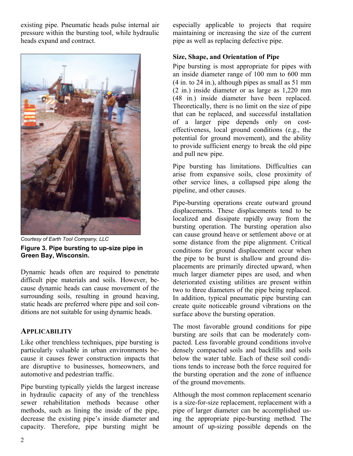existing pipe. Pneumatic heads pulse internal air pressure within the bursting tool, while hydraulic heads expand and contract.



*Courtesy of Earth Tool Company, LLC*  **Figure 3. Pipe bursting to up-size pipe in Green Bay, Wisconsin.** 

Dynamic heads often are required to penetrate difficult pipe materials and soils. However, because dynamic heads can cause movement of the surrounding soils, resulting in ground heaving, static heads are preferred where pipe and soil conditions are not suitable for using dynamic heads.

#### **APPLICABILITY**

Like other trenchless techniques, pipe bursting is particularly valuable in urban environments because it causes fewer construction impacts that are disruptive to businesses, homeowners, and automotive and pedestrian traffic.

capacity. Therefore, pipe bursting might be Pipe bursting typically yields the largest increase in hydraulic capacity of any of the trenchless sewer rehabilitation methods because other methods, such as lining the inside of the pipe, decrease the existing pipe's inside diameter and maintaining or increasing the size of the current pipe as well as replacing defective pipe.

#### **Size, Shape, and Orientation of Pipe**

Pipe bursting is most appropriate for pipes with an inside diameter range of 100 mm to 600 mm (4 in. to 24 in.), although pipes as small as 51 mm (2 in.) inside diameter or as large as 1,220 mm (48 in.) inside diameter have been replaced. Theoretically, there is no limit on the size of pipe that can be replaced, and successful installation of a larger pipe depends only on costeffectiveness, local ground conditions (e.g., the potential for ground movement), and the ability to provide sufficient energy to break the old pipe and pull new pipe.

Pipe bursting has limitations. Difficulties can arise from expansive soils, close proximity of other service lines, a collapsed pipe along the pipeline, and other causes.

Pipe-bursting operations create outward ground displacements. These displacements tend to be localized and dissipate rapidly away from the bursting operation. The bursting operation also can cause ground heave or settlement above or at some distance from the pipe alignment. Critical conditions for ground displacement occur when the pipe to be burst is shallow and ground displacements are primarily directed upward, when much larger diameter pipes are used, and when deteriorated existing utilities are present within two to three diameters of the pipe being replaced. In addition, typical pneumatic pipe bursting can create quite noticeable ground vibrations on the surface above the bursting operation.

The most favorable ground conditions for pipe bursting are soils that can be moderately compacted. Less favorable ground conditions involve densely compacted soils and backfills and soils below the water table. Each of these soil conditions tends to increase both the force required for the bursting operation and the zone of influence of the ground movements.

Although the most common replacement scenario is a size-for-size replacement, replacement with a pipe of larger diameter can be accomplished using the appropriate pipe-bursting method. The amount of up-sizing possible depends on the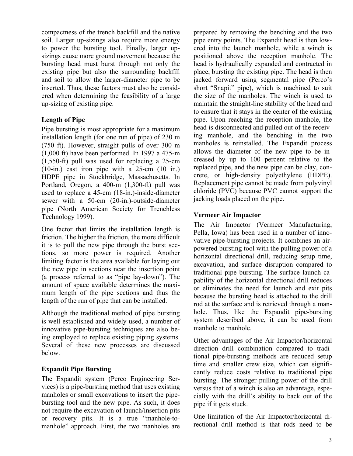compactness of the trench backfill and the native soil. Larger up-sizings also require more energy to power the bursting tool. Finally, larger upsizings cause more ground movement because the bursting head must burst through not only the existing pipe but also the surrounding backfill and soil to allow the larger-diameter pipe to be inserted. Thus, these factors must also be considered when determining the feasibility of a large up-sizing of existing pipe.

## **Length of Pipe**

Pipe bursting is most appropriate for a maximum installation length (for one run of pipe) of 230 m (750 ft). However, straight pulls of over 300 m (1,000 ft) have been performed. In 1997 a 475-m (1,550-ft) pull was used for replacing a 25-cm (10-in.) cast iron pipe with a 25-cm (10 in.) HDPE pipe in Stockbridge, Massachusetts. In Portland, Oregon, a 400-m (1,300-ft) pull was used to replace a 45-cm (18-in.)-inside-diameter sewer with a 50-cm (20-in.)-outside-diameter pipe (North American Society for Trenchless Technology 1999).

One factor that limits the installation length is friction. The higher the friction, the more difficult it is to pull the new pipe through the burst sections, so more power is required. Another limiting factor is the area available for laying out the new pipe in sections near the insertion point (a process referred to as "pipe lay-down"). The amount of space available determines the maximum length of the pipe sections and thus the length of the run of pipe that can be installed.

Although the traditional method of pipe bursting is well established and widely used, a number of innovative pipe-bursting techniques are also being employed to replace existing piping systems. Several of these new processes are discussed below.

#### **Expandit Pipe Bursting**

The Expandit system (Perco Engineering Services) is a pipe-bursting method that uses existing manholes or small excavations to insert the pipebursting tool and the new pipe. As such, it does not require the excavation of launch/insertion pits or recovery pits. It is a true "manhole-tomanhole" approach. First, the two manholes are

prepared by removing the benching and the two pipe entry points. The Expandit head is then lowered into the launch manhole, while a winch is positioned above the reception manhole. The head is hydraulically expanded and contracted in place, bursting the existing pipe. The head is then jacked forward using segmental pipe (Perco's short "Snapit" pipe), which is machined to suit the size of the manholes. The winch is used to maintain the straight-line stability of the head and to ensure that it stays in the center of the existing pipe. Upon reaching the reception manhole, the head is disconnected and pulled out of the receiving manhole, and the benching in the two manholes is reinstalled. The Expandit process allows the diameter of the new pipe to be increased by up to 100 percent relative to the replaced pipe, and the new pipe can be clay, concrete, or high-density polyethylene (HDPE). Replacement pipe cannot be made from polyvinyl chloride (PVC) because PVC cannot support the jacking loads placed on the pipe.

#### **Vermeer Air Impactor**

The Air Impactor (Vermeer Manufacturing, Pella, Iowa) has been used in a number of innovative pipe-bursting projects. It combines an airpowered bursting tool with the pulling power of a horizontal directional drill, reducing setup time, excavation, and surface disruption compared to traditional pipe bursting. The surface launch capability of the horizontal directional drill reduces or eliminates the need for launch and exit pits because the bursting head is attached to the drill rod at the surface and is retrieved through a manhole. Thus, like the Expandit pipe-bursting system described above, it can be used from manhole to manhole.

Other advantages of the Air Impactor/horizontal direction drill combination compared to traditional pipe-bursting methods are reduced setup time and smaller crew size, which can significantly reduce costs relative to traditional pipe bursting. The stronger pulling power of the drill versus that of a winch is also an advantage, especially with the drill's ability to back out of the pipe if it gets stuck.

One limitation of the Air Impactor/horizontal directional drill method is that rods need to be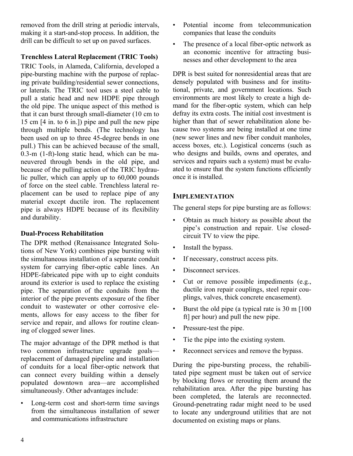removed from the drill string at periodic intervals, making it a start-and-stop process. In addition, the drill can be difficult to set up on paved surfaces.

## **Trenchless Lateral Replacement (TRIC Tools)**

TRIC Tools, in Alameda, California, developed a pipe-bursting machine with the purpose of replacing private building/residential sewer connections, or laterals. The TRIC tool uses a steel cable to pull a static head and new HDPE pipe through the old pipe. The unique aspect of this method is that it can burst through small-diameter (10 cm to 15 cm [4 in. to 6 in.]) pipe and pull the new pipe through multiple bends. (The technology has been used on up to three 45-degree bends in one pull.) This can be achieved because of the small, 0.3-m (1-ft)-long static head, which can be maneuvered through bends in the old pipe, and because of the pulling action of the TRIC hydraulic puller, which can apply up to 60,000 pounds of force on the steel cable. Trenchless lateral replacement can be used to replace pipe of any material except ductile iron. The replacement pipe is always HDPE because of its flexibility and durability.

#### **Dual-Process Rehabilitation**

The DPR method (Renaissance Integrated Solutions of New York) combines pipe bursting with the simultaneous installation of a separate conduit system for carrying fiber-optic cable lines. An HDPE-fabricated pipe with up to eight conduits around its exterior is used to replace the existing pipe. The separation of the conduits from the interior of the pipe prevents exposure of the fiber conduit to wastewater or other corrosive elements, allows for easy access to the fiber for service and repair, and allows for routine cleaning of clogged sewer lines.

The major advantage of the DPR method is that two common infrastructure upgrade goals replacement of damaged pipeline and installation of conduits for a local fiber-optic network that can connect every building within a densely populated downtown area––are accomplished simultaneously. Other advantages include:

• Long-term cost and short-term time savings from the simultaneous installation of sewer and communications infrastructure

- Potential income from telecommunication companies that lease the conduits
- The presence of a local fiber-optic network as an economic incentive for attracting businesses and other development to the area

DPR is best suited for nonresidential areas that are densely populated with business and for institutional, private, and government locations. Such environments are most likely to create a high demand for the fiber-optic system, which can help defray its extra costs. The initial cost investment is higher than that of sewer rehabilitation alone because two systems are being installed at one time (new sewer lines and new fiber conduit manholes, access boxes, etc.). Logistical concerns (such as who designs and builds, owns and operates, and services and repairs such a system) must be evaluated to ensure that the system functions efficiently once it is installed.

#### **IMPLEMENTATION**

The general steps for pipe bursting are as follows:

- Obtain as much history as possible about the pipe's construction and repair. Use closedcircuit TV to view the pipe.
- Install the bypass.
- If necessary, construct access pits.
- Disconnect services.
- Cut or remove possible impediments (e.g., ductile iron repair couplings, steel repair couplings, valves, thick concrete encasement).
- Burst the old pipe (a typical rate is 30 m [100] ft] per hour) and pull the new pipe.
- Pressure-test the pipe.
- Tie the pipe into the existing system.
- Reconnect services and remove the bypass.

During the pipe-bursting process, the rehabilitated pipe segment must be taken out of service by blocking flows or rerouting them around the rehabilitation area. After the pipe bursting has been completed, the laterals are reconnected. Ground-penetrating radar might need to be used to locate any underground utilities that are not documented on existing maps or plans.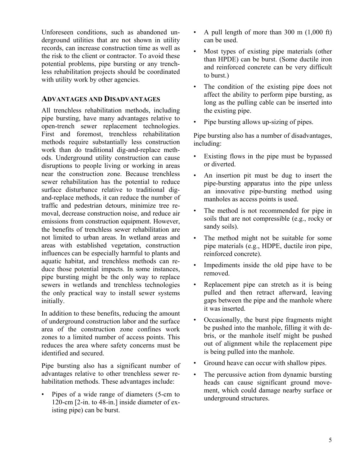Unforeseen conditions, such as abandoned underground utilities that are not shown in utility records, can increase construction time as well as the risk to the client or contractor. To avoid these potential problems, pipe bursting or any trenchless rehabilitation projects should be coordinated with utility work by other agencies.

#### **ADVANTAGES AND DISADVANTAGES**

All trenchless rehabilitation methods, including pipe bursting, have many advantages relative to open-trench sewer replacement technologies. First and foremost, trenchless rehabilitation methods require substantially less construction work than do traditional dig-and-replace methods. Underground utility construction can cause disruptions to people living or working in areas near the construction zone. Because trenchless sewer rehabilitation has the potential to reduce surface disturbance relative to traditional digand-replace methods, it can reduce the number of traffic and pedestrian detours, minimize tree removal, decrease construction noise, and reduce air emissions from construction equipment. However, the benefits of trenchless sewer rehabilitation are not limited to urban areas. In wetland areas and areas with established vegetation, construction influences can be especially harmful to plants and aquatic habitat, and trenchless methods can reduce those potential impacts. In some instances, pipe bursting might be the only way to replace sewers in wetlands and trenchless technologies the only practical way to install sewer systems initially.

In addition to these benefits, reducing the amount of underground construction labor and the surface area of the construction zone confines work zones to a limited number of access points. This reduces the area where safety concerns must be identified and secured.

Pipe bursting also has a significant number of advantages relative to other trenchless sewer rehabilitation methods. These advantages include:

• Pipes of a wide range of diameters (5-cm to 120-cm [2-in. to 48-in.] inside diameter of existing pipe) can be burst.

- A pull length of more than  $300 \text{ m}$   $(1,000 \text{ ft})$ can be used.
- Most types of existing pipe materials (other than HPDE) can be burst. (Some ductile iron and reinforced concrete can be very difficult to burst.)
- The condition of the existing pipe does not affect the ability to perform pipe bursting, as long as the pulling cable can be inserted into the existing pipe.
- Pipe bursting allows up-sizing of pipes.

Pipe bursting also has a number of disadvantages, including:

- Existing flows in the pipe must be bypassed or diverted.
- An insertion pit must be dug to insert the pipe-bursting apparatus into the pipe unless an innovative pipe-bursting method using manholes as access points is used.
- The method is not recommended for pipe in soils that are not compressible (e.g., rocky or sandy soils).
- The method might not be suitable for some pipe materials (e.g., HDPE, ductile iron pipe, reinforced concrete).
- Impediments inside the old pipe have to be removed.
- Replacement pipe can stretch as it is being pulled and then retract afterward, leaving gaps between the pipe and the manhole where it was inserted.
- Occasionally, the burst pipe fragments might be pushed into the manhole, filling it with debris, or the manhole itself might be pushed out of alignment while the replacement pipe is being pulled into the manhole.
- Ground heave can occur with shallow pipes.
- The percussive action from dynamic bursting heads can cause significant ground movement, which could damage nearby surface or underground structures.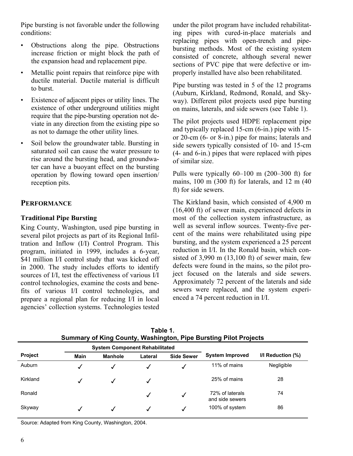Pipe bursting is not favorable under the following conditions:

- Obstructions along the pipe. Obstructions increase friction or might block the path of the expansion head and replacement pipe.
- Metallic point repairs that reinforce pipe with ductile material. Ductile material is difficult to burst.
- Existence of adjacent pipes or utility lines. The existence of other underground utilities might require that the pipe-bursting operation not deviate in any direction from the existing pipe so as not to damage the other utility lines.
- Soil below the groundwater table. Bursting in saturated soil can cause the water pressure to rise around the bursting head, and groundwater can have a buoyant effect on the bursting operation by flowing toward open insertion/ reception pits.

# **PERFORMANCE**

## **Traditional Pipe Bursting**

King County, Washington, used pipe bursting in several pilot projects as part of its Regional Infiltration and Inflow (I/I) Control Program. This program, initiated in 1999, includes a 6-year, \$41 million I/I control study that was kicked off in 2000. The study includes efforts to identify sources of I/I, test the effectiveness of various I/I control technologies, examine the costs and benefits of various I/I control technologies, and prepare a regional plan for reducing I/I in local agencies' collection systems. Technologies tested

under the pilot program have included rehabilitating pipes with cured-in-place materials and replacing pipes with open-trench and pipebursting methods. Most of the existing system consisted of concrete, although several newer sections of PVC pipe that were defective or improperly installed have also been rehabilitated.

Pipe bursting was tested in 5 of the 12 programs (Auburn, Kirkland, Redmond, Ronald, and Skyway). Different pilot projects used pipe bursting on mains, laterals, and side sewers (see Table 1).

The pilot projects used HDPE replacement pipe and typically replaced 15-cm (6-in.) pipe with 15 or 20-cm (6- or 8-in.) pipe for mains; laterals and side sewers typically consisted of 10- and 15-cm (4- and 6-in.) pipes that were replaced with pipes of similar size.

Pulls were typically 60–100 m (200–300 ft) for mains, 100 m (300 ft) for laterals, and 12 m (40 ft) for side sewers.

The Kirkland basin, which consisted of 4,900 m (16,400 ft) of sewer main, experienced defects in most of the collection system infrastructure, as well as several inflow sources. Twenty-five percent of the mains were rehabilitated using pipe bursting, and the system experienced a 25 percent reduction in I/I. In the Ronald basin, which consisted of  $3,990$  m  $(13,100 \text{ ft})$  of sewer main, few defects were found in the mains, so the pilot project focused on the laterals and side sewers. Approximately 72 percent of the laterals and side sewers were replaced, and the system experienced a 74 percent reduction in I/I.

| <b>Summary of King County, Washington, Pipe Bursting Pilot Projects</b> |      |                                       |         |                   |                                    |                        |  |
|-------------------------------------------------------------------------|------|---------------------------------------|---------|-------------------|------------------------------------|------------------------|--|
|                                                                         |      | <b>System Component Rehabilitated</b> |         |                   |                                    |                        |  |
| <b>Project</b>                                                          | Main | <b>Manhole</b>                        | Lateral | <b>Side Sewer</b> | <b>System Improved</b>             | $I/I$ Reduction $(\%)$ |  |
| Auburn                                                                  |      | √                                     |         |                   | 11% of mains                       | Negligible             |  |
| Kirkland                                                                |      | √                                     |         |                   | 25% of mains                       | 28                     |  |
| Ronald                                                                  |      |                                       |         | √                 | 72% of laterals<br>and side sewers | 74                     |  |
| Skyway                                                                  |      |                                       |         | √                 | 100% of system                     | 86                     |  |

**Table 1.** 

Source: Adapted from King County, Washington, 2004.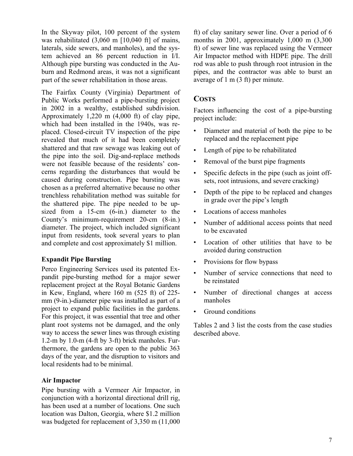In the Skyway pilot, 100 percent of the system was rehabilitated (3,060 m [10,040 ft] of mains, laterals, side sewers, and manholes), and the system achieved an 86 percent reduction in I/I. Although pipe bursting was conducted in the Auburn and Redmond areas, it was not a significant part of the sewer rehabilitation in those areas.

The Fairfax County (Virginia) Department of Public Works performed a pipe-bursting project in 2002 in a wealthy, established subdivision. Approximately 1,220 m (4,000 ft) of clay pipe, which had been installed in the 1940s, was replaced. Closed-circuit TV inspection of the pipe revealed that much of it had been completely shattered and that raw sewage was leaking out of the pipe into the soil. Dig-and-replace methods were not feasible because of the residents' concerns regarding the disturbances that would be caused during construction. Pipe bursting was chosen as a preferred alternative because no other trenchless rehabilitation method was suitable for the shattered pipe. The pipe needed to be upsized from a 15-cm (6-in.) diameter to the County's minimum-requirement 20-cm (8-in.) diameter. The project, which included significant input from residents, took several years to plan and complete and cost approximately \$1 million.

#### **Expandit Pipe Bursting**

Perco Engineering Services used its patented Expandit pipe-bursting method for a major sewer replacement project at the Royal Botanic Gardens in Kew, England, where 160 m (525 ft) of 225 mm (9-in.)-diameter pipe was installed as part of a project to expand public facilities in the gardens. For this project, it was essential that tree and other plant root systems not be damaged, and the only way to access the sewer lines was through existing 1.2-m by 1.0-m (4-ft by 3-ft) brick manholes. Furthermore, the gardens are open to the public 363 days of the year, and the disruption to visitors and local residents had to be minimal.

#### **Air Impactor**

Pipe bursting with a Vermeer Air Impactor, in conjunction with a horizontal directional drill rig, has been used at a number of locations. One such location was Dalton, Georgia, where \$1.2 million was budgeted for replacement of 3,350 m (11,000 ft) of clay sanitary sewer line. Over a period of 6 months in 2001, approximately 1,000 m (3,300 ft) of sewer line was replaced using the Vermeer Air Impactor method with HDPE pipe. The drill rod was able to push through root intrusion in the pipes, and the contractor was able to burst an average of 1 m (3 ft) per minute.

# **COSTS**

Factors influencing the cost of a pipe-bursting project include:

- Diameter and material of both the pipe to be replaced and the replacement pipe
- Length of pipe to be rehabilitated
- Removal of the burst pipe fragments
- Specific defects in the pipe (such as joint offsets, root intrusions, and severe cracking)
- Depth of the pipe to be replaced and changes in grade over the pipe's length
- Locations of access manholes
- Number of additional access points that need to be excavated
- Location of other utilities that have to be avoided during construction
- Provisions for flow bypass
- Number of service connections that need to be reinstated
- Number of directional changes at access manholes
- Ground conditions

Tables 2 and 3 list the costs from the case studies described above.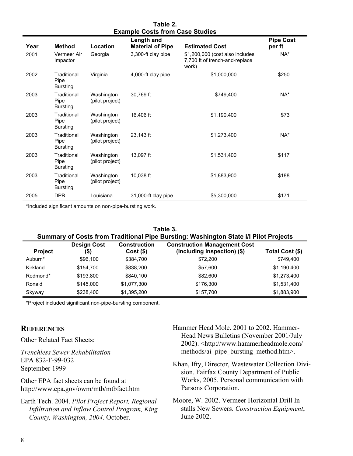| =^~~~~~~~~~~~~~~~~~~~~~~~~ |                                        |                               |                         |                                                                            |                  |  |  |
|----------------------------|----------------------------------------|-------------------------------|-------------------------|----------------------------------------------------------------------------|------------------|--|--|
|                            |                                        |                               | Length and              |                                                                            | <b>Pipe Cost</b> |  |  |
| Year                       | <b>Method</b>                          | Location                      | <b>Material of Pipe</b> | <b>Estimated Cost</b>                                                      | per ft           |  |  |
| 2001                       | Vermeer Air<br>Impactor                | Georgia                       | 3,300-ft clay pipe      | \$1,200,000 (cost also includes<br>7,700 ft of trench-and-replace<br>work) | NA*              |  |  |
| 2002                       | Traditional<br>Pipe<br><b>Bursting</b> | Virginia                      | 4,000-ft clay pipe      | \$1,000,000                                                                | \$250            |  |  |
| 2003                       | Traditional<br>Pipe<br><b>Bursting</b> | Washington<br>(pilot project) | 30,769 ft               | \$749,400                                                                  | NA*              |  |  |
| 2003                       | Traditional<br>Pipe<br><b>Bursting</b> | Washington<br>(pilot project) | 16,406 ft               | \$1,190,400                                                                | \$73             |  |  |
| 2003                       | Traditional<br>Pipe<br><b>Bursting</b> | Washington<br>(pilot project) | 23,143 ft               | \$1,273,400                                                                | NA*              |  |  |
| 2003                       | Traditional<br>Pipe<br><b>Bursting</b> | Washington<br>(pilot project) | 13,097 ft               | \$1,531,400                                                                | \$117            |  |  |
| 2003                       | Traditional<br>Pipe<br><b>Bursting</b> | Washington<br>(pilot project) | 10,038 ft               | \$1,883,900                                                                | \$188            |  |  |
| 2005                       | <b>DPR</b>                             | Louisiana                     | 31,000-ft clay pipe     | \$5,300,000                                                                | \$171            |  |  |

**Table 2. Example Costs from Case Studies** 

\*Included significant amounts on non-pipe-bursting work.

| Table 3.<br>Summary of Costs from Traditional Pipe Bursting: Washington State I/I Pilot Projects |                           |                                    |                                                                    |                 |  |  |  |  |
|--------------------------------------------------------------------------------------------------|---------------------------|------------------------------------|--------------------------------------------------------------------|-----------------|--|--|--|--|
| <b>Project</b>                                                                                   | <b>Design Cost</b><br>(\$ | <b>Construction</b><br>$Cost($ \$) | <b>Construction Management Cost</b><br>(Including Inspection) (\$) | Total Cost (\$) |  |  |  |  |
| Auburn*                                                                                          | \$96,100                  | \$384,700                          | \$72,200                                                           | \$749,400       |  |  |  |  |
| Kirkland                                                                                         | \$154,700                 | \$838,200                          | \$57,600                                                           | \$1,190,400     |  |  |  |  |
| Redmond*                                                                                         | \$193,800                 | \$840.100                          | \$82,600                                                           | \$1,273,400     |  |  |  |  |
| Ronald                                                                                           | \$145,000                 | \$1,077,300                        | \$176,300                                                          | \$1,531,400     |  |  |  |  |
| Skyway                                                                                           | \$238,400                 | \$1,395,200                        | \$157,700                                                          | \$1,883,900     |  |  |  |  |

\*Project included significant non-pipe-bursting component.

#### **REFERENCES**

Other Related Fact Sheets:

*Trenchless Sewer Rehabilitation*  EPA 832-F-99-032 September 1999

Other EPA fact sheets can be found at <http://www.epa.gov/owm/mtb/mtbfact.htm>

Earth Tech. 2004. *Pilot Project Report, Regional Infiltration and Inflow Control Program, King County, Washington, 2004*. October.

- Hammer Head Mole. 2001 to 2002. Hammer-Head News Bulletins (November 2001/July 2002). [<http://www.hammerheadmole.com](http://www.hammerheadmole.com)/ methods/ai\_pipe\_bursting\_method.htm>.
- Khan, Ifty, Director, Wastewater Collection Division. Fairfax County Department of Public Works, 2005. Personal communication with Parsons Corporation.
- Moore, W. 2002. Vermeer Horizontal Drill Installs New Sewers. *Construction Equipment*, June 2002.